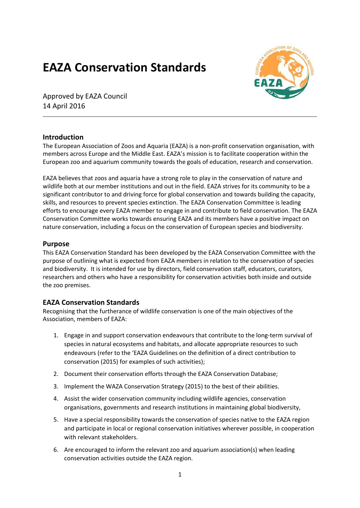## **EAZA Conservation Standards**



Approved by EAZA Council 14 April 2016

## **Introduction**

The European Association of Zoos and Aquaria (EAZA) is a non-profit conservation organisation, with members across Europe and the Middle East. EAZA's mission is to facilitate cooperation within the European zoo and aquarium community towards the goals of education, research and conservation.

EAZA believes that zoos and aquaria have a strong role to play in the conservation of nature and wildlife both at our member institutions and out in the field. EAZA strives for its community to be a significant contributor to and driving force for global conservation and towards building the capacity, skills, and resources to prevent species extinction. The EAZA Conservation Committee is leading efforts to encourage every EAZA member to engage in and contribute to field conservation. The EAZA Conservation Committee works towards ensuring EAZA and its members have a positive impact on nature conservation, including a focus on the conservation of European species and biodiversity.

## **Purpose**

This EAZA Conservation Standard has been developed by the EAZA Conservation Committee with the purpose of outlining what is expected from EAZA members in relation to the conservation of species and biodiversity. It is intended for use by directors, field conservation staff, educators, curators, researchers and others who have a responsibility for conservation activities both inside and outside the zoo premises.

## **EAZA Conservation Standards**

Recognising that the furtherance of wildlife conservation is one of the main objectives of the Association, members of EAZA:

- 1. Engage in and support conservation endeavours that contribute to the long-term survival of species in natural ecosystems and habitats, and allocate appropriate resources to such endeavours (refer to the 'EAZA Guidelines on the definition of a direct contribution to conservation (2015) for examples of such activities);
- 2. Document their conservation efforts through the EAZA Conservation Database;
- 3. Implement the WAZA Conservation Strategy (2015) to the best of their abilities.
- 4. Assist the wider conservation community including wildlife agencies, conservation organisations, governments and research institutions in maintaining global biodiversity,
- 5. Have a special responsibility towards the conservation of species native to the EAZA region and participate in local or regional conservation initiatives wherever possible, in cooperation with relevant stakeholders.
- 6. Are encouraged to inform the relevant zoo and aquarium association(s) when leading conservation activities outside the EAZA region.